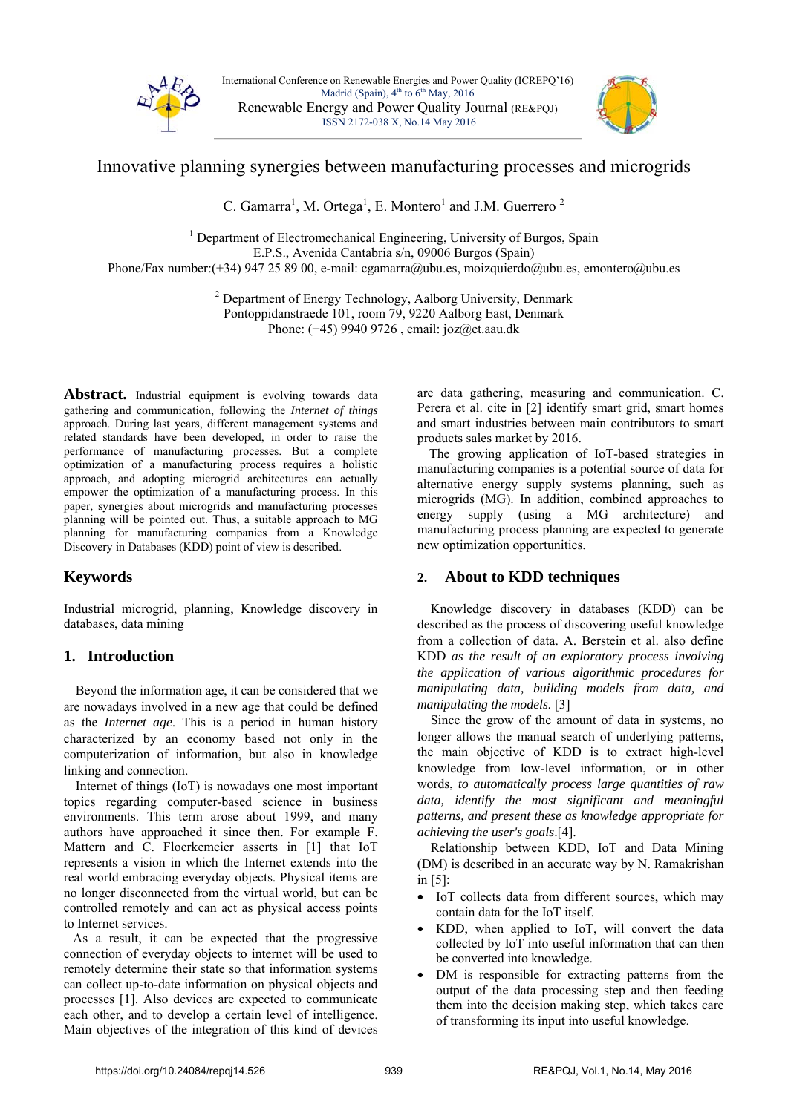

International Conference on Renewable Energies and Power Quality (ICREPQ'16) Madrid (Spain),  $4<sup>th</sup>$  to  $6<sup>th</sup>$  May, 2016 Renewable Energy and Power Quality Journal (RE&PQJ) ISSN 2172-038 X, No.14 May 2016



# Innovative planning synergies between manufacturing processes and microgrids

C. Gamarra<sup>1</sup>, M. Ortega<sup>1</sup>, E. Montero<sup>1</sup> and J.M. Guerrero<sup>2</sup>

<sup>1</sup> Department of Electromechanical Engineering, University of Burgos, Spain E.P.S., Avenida Cantabria s/n, 09006 Burgos (Spain) Phone/Fax number:(+34) 947 25 89 00, e-mail: cgamarra@ubu.es, moizquierdo@ubu.es, emontero@ubu.es

> <sup>2</sup> Department of Energy Technology, Aalborg University, Denmark Pontoppidanstraede 101, room 79, 9220 Aalborg East, Denmark Phone: (+45) 9940 9726 , email: joz@et.aau.dk

Abstract. Industrial equipment is evolving towards data gathering and communication, following the *Internet of things* approach. During last years, different management systems and related standards have been developed, in order to raise the performance of manufacturing processes. But a complete optimization of a manufacturing process requires a holistic approach, and adopting microgrid architectures can actually empower the optimization of a manufacturing process. In this paper, synergies about microgrids and manufacturing processes planning will be pointed out. Thus, a suitable approach to MG planning for manufacturing companies from a Knowledge Discovery in Databases (KDD) point of view is described.

## **Keywords**

Industrial microgrid, planning, Knowledge discovery in databases, data mining

## **1. Introduction**

Beyond the information age, it can be considered that we are nowadays involved in a new age that could be defined as the *Internet age*. This is a period in human history characterized by an economy based not only in the computerization of information, but also in knowledge linking and connection.

Internet of things (IoT) is nowadays one most important topics regarding computer-based science in business environments. This term arose about 1999, and many authors have approached it since then. For example F. Mattern and C. Floerkemeier asserts in [1] that IoT represents a vision in which the Internet extends into the real world embracing everyday objects. Physical items are no longer disconnected from the virtual world, but can be controlled remotely and can act as physical access points to Internet services.

As a result, it can be expected that the progressive connection of everyday objects to internet will be used to remotely determine their state so that information systems can collect up-to-date information on physical objects and processes [1]. Also devices are expected to communicate each other, and to develop a certain level of intelligence. Main objectives of the integration of this kind of devices

are data gathering, measuring and communication. C. Perera et al. cite in [2] identify smart grid, smart homes and smart industries between main contributors to smart products sales market by 2016.

The growing application of IoT-based strategies in manufacturing companies is a potential source of data for alternative energy supply systems planning, such as microgrids (MG). In addition, combined approaches to energy supply (using a MG architecture) and manufacturing process planning are expected to generate new optimization opportunities.

## **2. About to KDD techniques**

Knowledge discovery in databases (KDD) can be described as the process of discovering useful knowledge from a collection of data. A. Berstein et al. also define KDD *as the result of an exploratory process involving the application of various algorithmic procedures for manipulating data, building models from data, and manipulating the models.* [3]

Since the grow of the amount of data in systems, no longer allows the manual search of underlying patterns, the main objective of KDD is to extract high-level knowledge from low-level information, or in other words, *to automatically process large quantities of raw data, identify the most significant and meaningful patterns, and present these as knowledge appropriate for achieving the user's goals*.[4].

Relationship between KDD, IoT and Data Mining (DM) is described in an accurate way by N. Ramakrishan in [5]:

- IoT collects data from different sources, which may contain data for the IoT itself.
- KDD, when applied to IoT, will convert the data collected by IoT into useful information that can then be converted into knowledge.
- DM is responsible for extracting patterns from the output of the data processing step and then feeding them into the decision making step, which takes care of transforming its input into useful knowledge.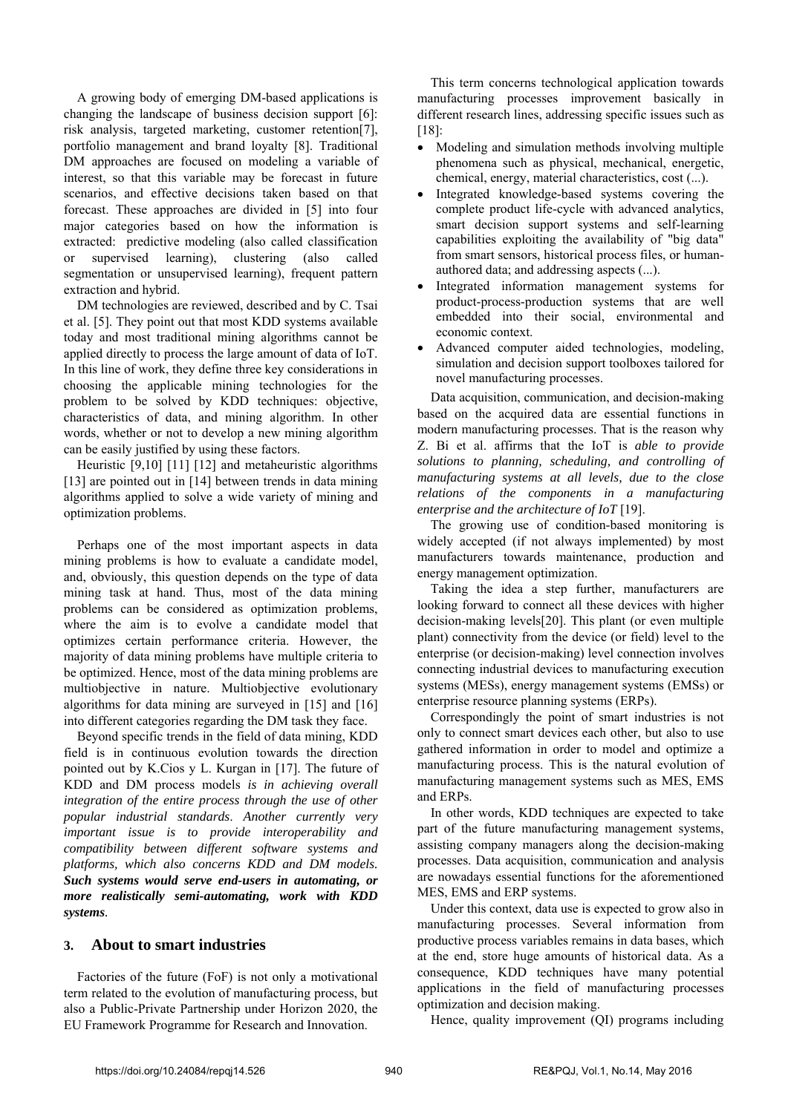A growing body of emerging DM-based applications is changing the landscape of business decision support [6]: risk analysis, targeted marketing, customer retention[7], portfolio management and brand loyalty [8]. Traditional DM approaches are focused on modeling a variable of interest, so that this variable may be forecast in future scenarios, and effective decisions taken based on that forecast. These approaches are divided in [5] into four major categories based on how the information is extracted: predictive modeling (also called classification or supervised learning), clustering (also called segmentation or unsupervised learning), frequent pattern extraction and hybrid.

DM technologies are reviewed, described and by C. Tsai et al. [5]. They point out that most KDD systems available today and most traditional mining algorithms cannot be applied directly to process the large amount of data of IoT. In this line of work, they define three key considerations in choosing the applicable mining technologies for the problem to be solved by KDD techniques: objective, characteristics of data, and mining algorithm. In other words, whether or not to develop a new mining algorithm can be easily justified by using these factors.

Heuristic [9,10] [11] [12] and metaheuristic algorithms [13] are pointed out in [14] between trends in data mining algorithms applied to solve a wide variety of mining and optimization problems.

Perhaps one of the most important aspects in data mining problems is how to evaluate a candidate model, and, obviously, this question depends on the type of data mining task at hand. Thus, most of the data mining problems can be considered as optimization problems, where the aim is to evolve a candidate model that optimizes certain performance criteria. However, the majority of data mining problems have multiple criteria to be optimized. Hence, most of the data mining problems are multiobjective in nature. Multiobjective evolutionary algorithms for data mining are surveyed in [15] and [16] into different categories regarding the DM task they face.

Beyond specific trends in the field of data mining, KDD field is in continuous evolution towards the direction pointed out by K.Cios y L. Kurgan in [17]. The future of KDD and DM process models *is in achieving overall integration of the entire process through the use of other popular industrial standards*. *Another currently very important issue is to provide interoperability and compatibility between different software systems and platforms, which also concerns KDD and DM models. Such systems would serve end-users in automating, or more realistically semi-automating, work with KDD systems.* 

#### **3. About to smart industries**

Factories of the future (FoF) is not only a motivational term related to the evolution of manufacturing process, but also a Public-Private Partnership under Horizon 2020, the EU Framework Programme for Research and Innovation.

This term concerns technological application towards manufacturing processes improvement basically in different research lines, addressing specific issues such as [18]:

- Modeling and simulation methods involving multiple phenomena such as physical, mechanical, energetic, chemical, energy, material characteristics, cost (...).
- Integrated knowledge-based systems covering the complete product life-cycle with advanced analytics, smart decision support systems and self-learning capabilities exploiting the availability of "big data" from smart sensors, historical process files, or humanauthored data; and addressing aspects (...).
- Integrated information management systems for product-process-production systems that are well embedded into their social, environmental and economic context.
- Advanced computer aided technologies, modeling, simulation and decision support toolboxes tailored for novel manufacturing processes.

Data acquisition, communication, and decision-making based on the acquired data are essential functions in modern manufacturing processes. That is the reason why Z. Bi et al. affirms that the IoT is *able to provide solutions to planning, scheduling, and controlling of manufacturing systems at all levels, due to the close relations of the components in a manufacturing enterprise and the architecture of IoT* [19].

The growing use of condition-based monitoring is widely accepted (if not always implemented) by most manufacturers towards maintenance, production and energy management optimization.

Taking the idea a step further, manufacturers are looking forward to connect all these devices with higher decision-making levels[20]. This plant (or even multiple plant) connectivity from the device (or field) level to the enterprise (or decision-making) level connection involves connecting industrial devices to manufacturing execution systems (MESs), energy management systems (EMSs) or enterprise resource planning systems (ERPs).

Correspondingly the point of smart industries is not only to connect smart devices each other, but also to use gathered information in order to model and optimize a manufacturing process. This is the natural evolution of manufacturing management systems such as MES, EMS and ERPs.

In other words, KDD techniques are expected to take part of the future manufacturing management systems, assisting company managers along the decision-making processes. Data acquisition, communication and analysis are nowadays essential functions for the aforementioned MES, EMS and ERP systems.

Under this context, data use is expected to grow also in manufacturing processes. Several information from productive process variables remains in data bases, which at the end, store huge amounts of historical data. As a consequence, KDD techniques have many potential applications in the field of manufacturing processes optimization and decision making.

Hence, quality improvement (QI) programs including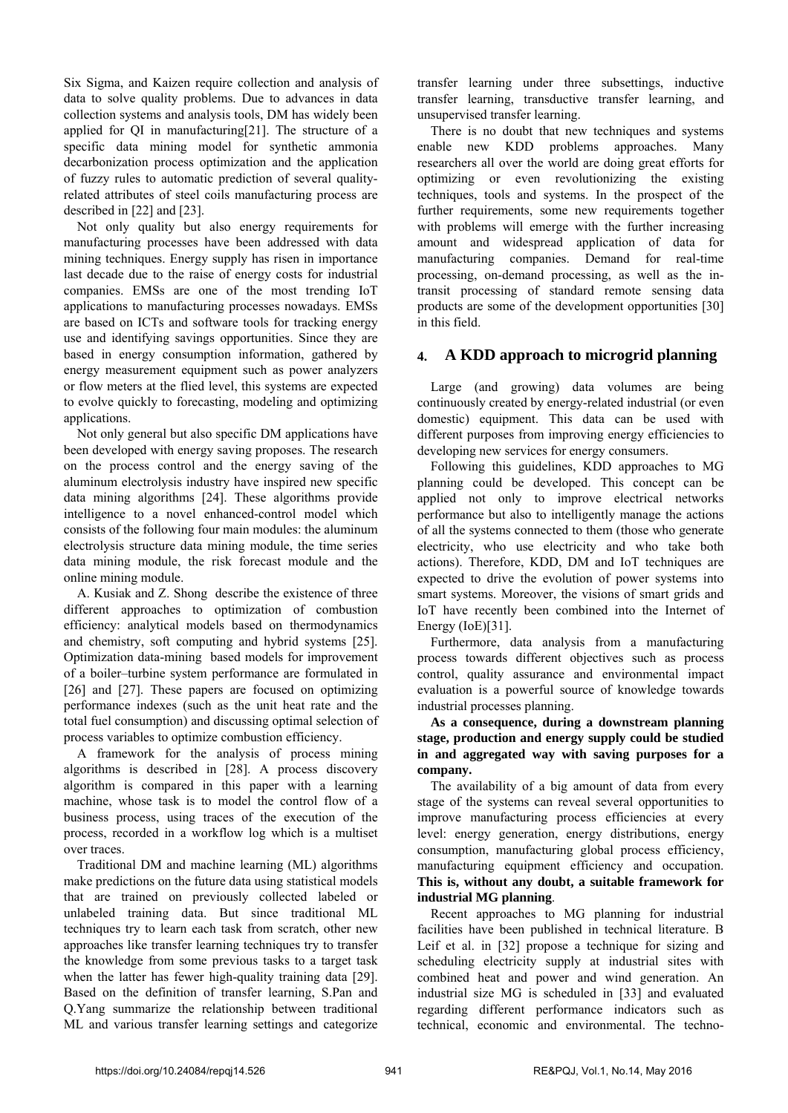Six Sigma, and Kaizen require collection and analysis of data to solve quality problems. Due to advances in data collection systems and analysis tools, DM has widely been applied for QI in manufacturing[21]. The structure of a specific data mining model for synthetic ammonia decarbonization process optimization and the application of fuzzy rules to automatic prediction of several qualityrelated attributes of steel coils manufacturing process are described in [22] and [23].

Not only quality but also energy requirements for manufacturing processes have been addressed with data mining techniques. Energy supply has risen in importance last decade due to the raise of energy costs for industrial companies. EMSs are one of the most trending IoT applications to manufacturing processes nowadays. EMSs are based on ICTs and software tools for tracking energy use and identifying savings opportunities. Since they are based in energy consumption information, gathered by energy measurement equipment such as power analyzers or flow meters at the flied level, this systems are expected to evolve quickly to forecasting, modeling and optimizing applications.

Not only general but also specific DM applications have been developed with energy saving proposes. The research on the process control and the energy saving of the aluminum electrolysis industry have inspired new specific data mining algorithms [24]. These algorithms provide intelligence to a novel enhanced-control model which consists of the following four main modules: the aluminum electrolysis structure data mining module, the time series data mining module, the risk forecast module and the online mining module.

A. Kusiak and Z. Shong describe the existence of three different approaches to optimization of combustion efficiency: analytical models based on thermodynamics and chemistry, soft computing and hybrid systems [25]. Optimization data-mining based models for improvement of a boiler–turbine system performance are formulated in [26] and [27]. These papers are focused on optimizing performance indexes (such as the unit heat rate and the total fuel consumption) and discussing optimal selection of process variables to optimize combustion efficiency.

A framework for the analysis of process mining algorithms is described in [28]. A process discovery algorithm is compared in this paper with a learning machine, whose task is to model the control flow of a business process, using traces of the execution of the process, recorded in a workflow log which is a multiset over traces.

Traditional DM and machine learning (ML) algorithms make predictions on the future data using statistical models that are trained on previously collected labeled or unlabeled training data. But since traditional ML techniques try to learn each task from scratch, other new approaches like transfer learning techniques try to transfer the knowledge from some previous tasks to a target task when the latter has fewer high-quality training data [29]. Based on the definition of transfer learning, S.Pan and Q.Yang summarize the relationship between traditional ML and various transfer learning settings and categorize transfer learning under three subsettings, inductive transfer learning, transductive transfer learning, and unsupervised transfer learning.

There is no doubt that new techniques and systems enable new KDD problems approaches. Many researchers all over the world are doing great efforts for optimizing or even revolutionizing the existing techniques, tools and systems. In the prospect of the further requirements, some new requirements together with problems will emerge with the further increasing amount and widespread application of data for manufacturing companies. Demand for real-time processing, on-demand processing, as well as the intransit processing of standard remote sensing data products are some of the development opportunities [30] in this field.

### **4. A KDD approach to microgrid planning**

Large (and growing) data volumes are being continuously created by energy-related industrial (or even domestic) equipment. This data can be used with different purposes from improving energy efficiencies to developing new services for energy consumers.

Following this guidelines, KDD approaches to MG planning could be developed. This concept can be applied not only to improve electrical networks performance but also to intelligently manage the actions of all the systems connected to them (those who generate electricity, who use electricity and who take both actions). Therefore, KDD, DM and IoT techniques are expected to drive the evolution of power systems into smart systems. Moreover, the visions of smart grids and IoT have recently been combined into the Internet of Energy (IoE)[31].

Furthermore, data analysis from a manufacturing process towards different objectives such as process control, quality assurance and environmental impact evaluation is a powerful source of knowledge towards industrial processes planning.

**As a consequence, during a downstream planning stage, production and energy supply could be studied in and aggregated way with saving purposes for a company.** 

The availability of a big amount of data from every stage of the systems can reveal several opportunities to improve manufacturing process efficiencies at every level: energy generation, energy distributions, energy consumption, manufacturing global process efficiency, manufacturing equipment efficiency and occupation. **This is, without any doubt, a suitable framework for industrial MG planning**.

Recent approaches to MG planning for industrial facilities have been published in technical literature. B Leif et al. in [32] propose a technique for sizing and scheduling electricity supply at industrial sites with combined heat and power and wind generation. An industrial size MG is scheduled in [33] and evaluated regarding different performance indicators such as technical, economic and environmental. The techno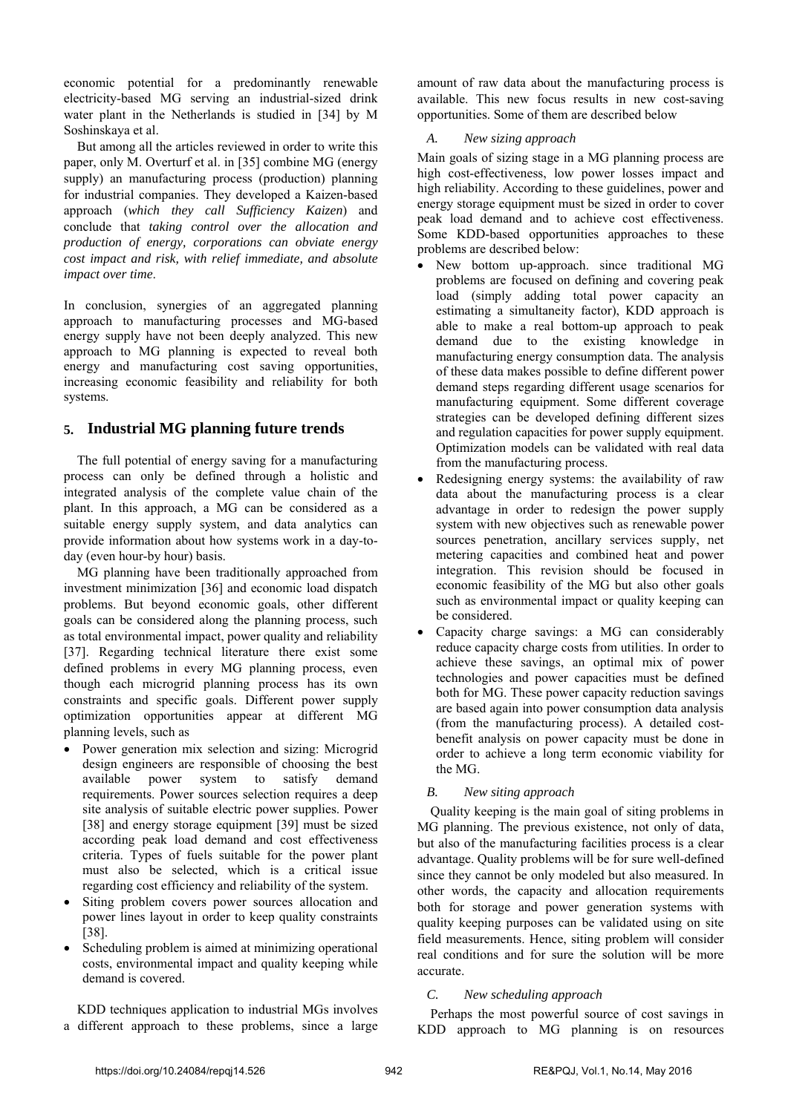economic potential for a predominantly renewable electricity-based MG serving an industrial-sized drink water plant in the Netherlands is studied in [34] by M Soshinskaya et al.

But among all the articles reviewed in order to write this paper, only M. Overturf et al. in [35] combine MG (energy supply) an manufacturing process (production) planning for industrial companies. They developed a Kaizen-based approach (*which they call Sufficiency Kaizen*) and conclude that *taking control over the allocation and production of energy, corporations can obviate energy cost impact and risk, with relief immediate, and absolute impact over time*.

In conclusion, synergies of an aggregated planning approach to manufacturing processes and MG-based energy supply have not been deeply analyzed. This new approach to MG planning is expected to reveal both energy and manufacturing cost saving opportunities, increasing economic feasibility and reliability for both systems.

### **5. Industrial MG planning future trends**

The full potential of energy saving for a manufacturing process can only be defined through a holistic and integrated analysis of the complete value chain of the plant. In this approach, a MG can be considered as a suitable energy supply system, and data analytics can provide information about how systems work in a day-today (even hour-by hour) basis.

MG planning have been traditionally approached from investment minimization [36] and economic load dispatch problems. But beyond economic goals, other different goals can be considered along the planning process, such as total environmental impact, power quality and reliability [37]. Regarding technical literature there exist some defined problems in every MG planning process, even though each microgrid planning process has its own constraints and specific goals. Different power supply optimization opportunities appear at different MG planning levels, such as

- Power generation mix selection and sizing: Microgrid design engineers are responsible of choosing the best available power system to satisfy demand requirements. Power sources selection requires a deep site analysis of suitable electric power supplies. Power [38] and energy storage equipment [39] must be sized according peak load demand and cost effectiveness criteria. Types of fuels suitable for the power plant must also be selected, which is a critical issue regarding cost efficiency and reliability of the system.
- Siting problem covers power sources allocation and power lines layout in order to keep quality constraints [38].
- Scheduling problem is aimed at minimizing operational costs, environmental impact and quality keeping while demand is covered.

KDD techniques application to industrial MGs involves a different approach to these problems, since a large

amount of raw data about the manufacturing process is available. This new focus results in new cost-saving opportunities. Some of them are described below

#### *A. New sizing approach*

Main goals of sizing stage in a MG planning process are high cost-effectiveness, low power losses impact and high reliability. According to these guidelines, power and energy storage equipment must be sized in order to cover peak load demand and to achieve cost effectiveness. Some KDD-based opportunities approaches to these problems are described below:

- New bottom up-approach. since traditional MG problems are focused on defining and covering peak load (simply adding total power capacity an estimating a simultaneity factor), KDD approach is able to make a real bottom-up approach to peak demand due to the existing knowledge in manufacturing energy consumption data. The analysis of these data makes possible to define different power demand steps regarding different usage scenarios for manufacturing equipment. Some different coverage strategies can be developed defining different sizes and regulation capacities for power supply equipment. Optimization models can be validated with real data from the manufacturing process.
- Redesigning energy systems: the availability of raw data about the manufacturing process is a clear advantage in order to redesign the power supply system with new objectives such as renewable power sources penetration, ancillary services supply, net metering capacities and combined heat and power integration. This revision should be focused in economic feasibility of the MG but also other goals such as environmental impact or quality keeping can be considered.
- Capacity charge savings: a MG can considerably reduce capacity charge costs from utilities. In order to achieve these savings, an optimal mix of power technologies and power capacities must be defined both for MG. These power capacity reduction savings are based again into power consumption data analysis (from the manufacturing process). A detailed costbenefit analysis on power capacity must be done in order to achieve a long term economic viability for the MG.

#### *B. New siting approach*

Quality keeping is the main goal of siting problems in MG planning. The previous existence, not only of data, but also of the manufacturing facilities process is a clear advantage. Quality problems will be for sure well-defined since they cannot be only modeled but also measured. In other words, the capacity and allocation requirements both for storage and power generation systems with quality keeping purposes can be validated using on site field measurements. Hence, siting problem will consider real conditions and for sure the solution will be more accurate.

#### *C. New scheduling approach*

Perhaps the most powerful source of cost savings in KDD approach to MG planning is on resources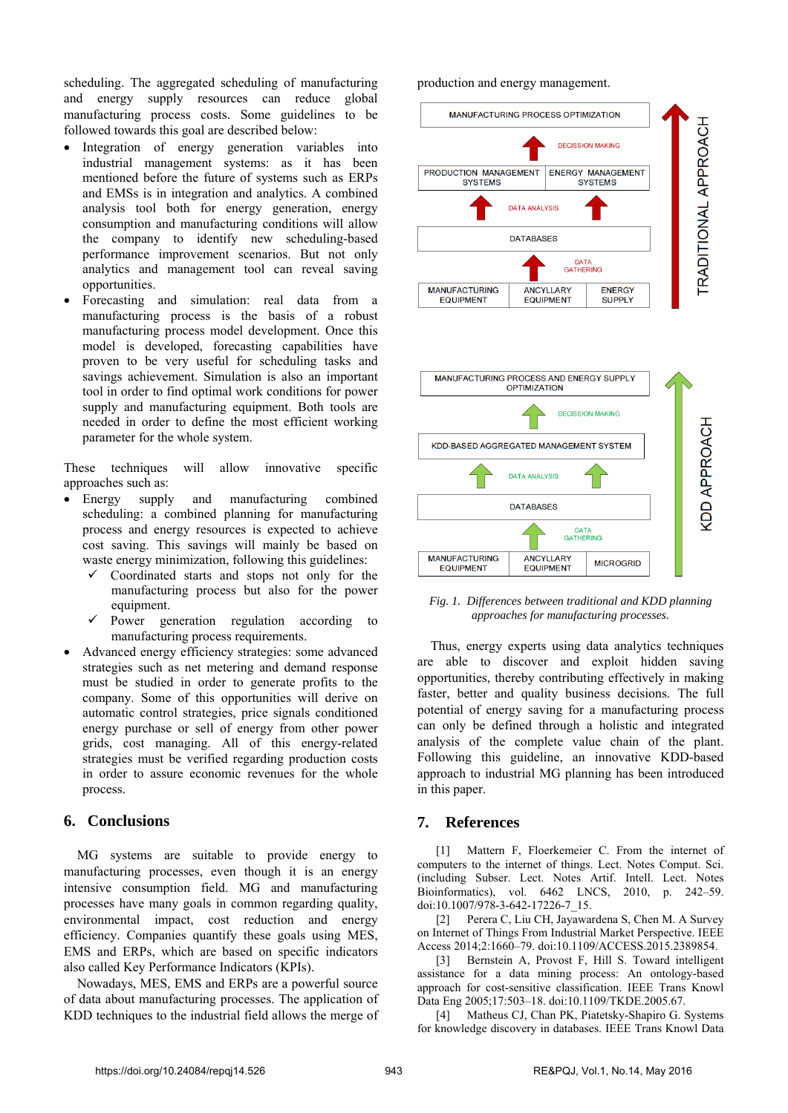scheduling. The aggregated scheduling of manufacturing and energy supply resources can reduce global manufacturing process costs. Some guidelines to be followed towards this goal are described below:

- Integration of energy generation variables into industrial management systems: as it has been mentioned before the future of systems such as ERPs and EMSs is in integration and analytics. A combined analysis tool both for energy generation, energy consumption and manufacturing conditions will allow the company to identify new scheduling-based performance improvement scenarios. But not only analytics and management tool can reveal saving opportunities.
- Forecasting and simulation: real data from a manufacturing process is the basis of a robust manufacturing process model development. Once this model is developed, forecasting capabilities have proven to be very useful for scheduling tasks and savings achievement. Simulation is also an important tool in order to find optimal work conditions for power supply and manufacturing equipment. Both tools are needed in order to define the most efficient working parameter for the whole system.

These techniques will allow innovative specific approaches such as:

- Energy supply and manufacturing combined scheduling: a combined planning for manufacturing process and energy resources is expected to achieve cost saving. This savings will mainly be based on waste energy minimization, following this guidelines:
	- Coordinated starts and stops not only for the manufacturing process but also for the power equipment.
	- $\checkmark$  Power generation regulation according to manufacturing process requirements.
- Advanced energy efficiency strategies: some advanced strategies such as net metering and demand response must be studied in order to generate profits to the company. Some of this opportunities will derive on automatic control strategies, price signals conditioned energy purchase or sell of energy from other power grids, cost managing. All of this energy-related strategies must be verified regarding production costs in order to assure economic revenues for the whole process.

#### **6. Conclusions**

MG systems are suitable to provide energy to manufacturing processes, even though it is an energy intensive consumption field. MG and manufacturing processes have many goals in common regarding quality, environmental impact, cost reduction and energy efficiency. Companies quantify these goals using MES, EMS and ERPs, which are based on specific indicators also called Key Performance Indicators (KPIs).

Nowadays, MES, EMS and ERPs are a powerful source of data about manufacturing processes. The application of KDD techniques to the industrial field allows the merge of

production and energy management.



*Fig. 1. Differences between traditional and KDD planning approaches for manufacturing processes.*

Thus, energy experts using data analytics techniques are able to discover and exploit hidden saving opportunities, thereby contributing effectively in making faster, better and quality business decisions. The full potential of energy saving for a manufacturing process can only be defined through a holistic and integrated analysis of the complete value chain of the plant. Following this guideline, an innovative KDD-based approach to industrial MG planning has been introduced in this paper.

#### **7. References**

[1] Mattern F, Floerkemeier C. From the internet of computers to the internet of things. Lect. Notes Comput. Sci. (including Subser. Lect. Notes Artif. Intell. Lect. Notes Bioinformatics), vol. 6462 LNCS, 2010, p. 242–59. doi:10.1007/978-3-642-17226-7\_15.

[2] Perera C, Liu CH, Jayawardena S, Chen M. A Survey on Internet of Things From Industrial Market Perspective. IEEE Access 2014;2:1660–79. doi:10.1109/ACCESS.2015.2389854.

[3] Bernstein A, Provost F, Hill S. Toward intelligent assistance for a data mining process: An ontology-based approach for cost-sensitive classification. IEEE Trans Knowl Data Eng 2005;17:503–18. doi:10.1109/TKDE.2005.67.

Matheus CJ, Chan PK, Piatetsky-Shapiro G. Systems for knowledge discovery in databases. IEEE Trans Knowl Data